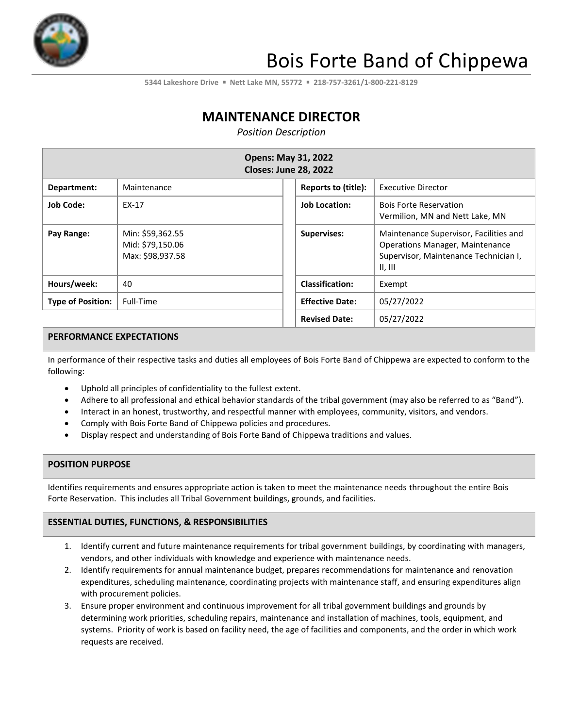

# Bois Forte Band of Chippewa

**5344 Lakeshore Drive** ▪ **Nett Lake MN, 55772** ▪ **218-757-3261/1-800-221-8129**

# **MAINTENANCE DIRECTOR**

*Position Description*

| <b>Opens: May 31, 2022</b><br><b>Closes: June 28, 2022</b> |                                                          |                        |                                                                                                                                      |  |
|------------------------------------------------------------|----------------------------------------------------------|------------------------|--------------------------------------------------------------------------------------------------------------------------------------|--|
| Department:                                                | Maintenance                                              | Reports to (title):    | <b>Executive Director</b>                                                                                                            |  |
| <b>Job Code:</b>                                           | EX-17                                                    | <b>Job Location:</b>   | <b>Bois Forte Reservation</b><br>Vermilion, MN and Nett Lake, MN                                                                     |  |
| Pay Range:                                                 | Min: \$59,362.55<br>Mid: \$79,150.06<br>Max: \$98,937.58 | <b>Supervises:</b>     | Maintenance Supervisor, Facilities and<br><b>Operations Manager, Maintenance</b><br>Supervisor, Maintenance Technician I,<br>II, III |  |
| Hours/week:                                                | 40                                                       | <b>Classification:</b> | Exempt                                                                                                                               |  |
| <b>Type of Position:</b>                                   | Full-Time                                                | <b>Effective Date:</b> | 05/27/2022                                                                                                                           |  |
|                                                            |                                                          | <b>Revised Date:</b>   | 05/27/2022                                                                                                                           |  |

### **PERFORMANCE EXPECTATIONS**

In performance of their respective tasks and duties all employees of Bois Forte Band of Chippewa are expected to conform to the following:

- Uphold all principles of confidentiality to the fullest extent.
- Adhere to all professional and ethical behavior standards of the tribal government (may also be referred to as "Band").
- Interact in an honest, trustworthy, and respectful manner with employees, community, visitors, and vendors.
- Comply with Bois Forte Band of Chippewa policies and procedures.
- Display respect and understanding of Bois Forte Band of Chippewa traditions and values.

#### **POSITION PURPOSE**

Identifies requirements and ensures appropriate action is taken to meet the maintenance needs throughout the entire Bois Forte Reservation. This includes all Tribal Government buildings, grounds, and facilities.

#### **ESSENTIAL DUTIES, FUNCTIONS, & RESPONSIBILITIES**

- 1. Identify current and future maintenance requirements for tribal government buildings, by coordinating with managers, vendors, and other individuals with knowledge and experience with maintenance needs.
- 2. Identify requirements for annual maintenance budget, prepares recommendations for maintenance and renovation expenditures, scheduling maintenance, coordinating projects with maintenance staff, and ensuring expenditures align with procurement policies.
- 3. Ensure proper environment and continuous improvement for all tribal government buildings and grounds by determining work priorities, scheduling repairs, maintenance and installation of machines, tools, equipment, and systems. Priority of work is based on facility need, the age of facilities and components, and the order in which work requests are received.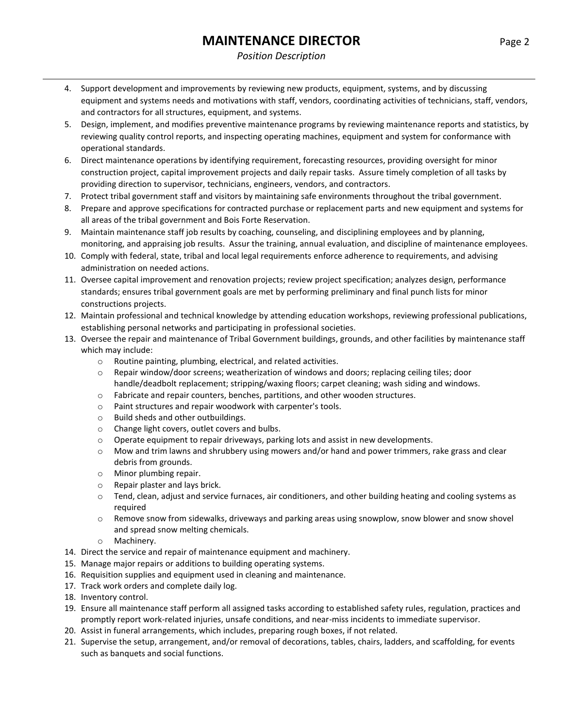### *Position Description*

- 4. Support development and improvements by reviewing new products, equipment, systems, and by discussing equipment and systems needs and motivations with staff, vendors, coordinating activities of technicians, staff, vendors, and contractors for all structures, equipment, and systems.
- 5. Design, implement, and modifies preventive maintenance programs by reviewing maintenance reports and statistics, by reviewing quality control reports, and inspecting operating machines, equipment and system for conformance with operational standards.
- 6. Direct maintenance operations by identifying requirement, forecasting resources, providing oversight for minor construction project, capital improvement projects and daily repair tasks. Assure timely completion of all tasks by providing direction to supervisor, technicians, engineers, vendors, and contractors.
- 7. Protect tribal government staff and visitors by maintaining safe environments throughout the tribal government.
- 8. Prepare and approve specifications for contracted purchase or replacement parts and new equipment and systems for all areas of the tribal government and Bois Forte Reservation.
- 9. Maintain maintenance staff job results by coaching, counseling, and disciplining employees and by planning, monitoring, and appraising job results. Assur the training, annual evaluation, and discipline of maintenance employees.
- 10. Comply with federal, state, tribal and local legal requirements enforce adherence to requirements, and advising administration on needed actions.
- 11. Oversee capital improvement and renovation projects; review project specification; analyzes design, performance standards; ensures tribal government goals are met by performing preliminary and final punch lists for minor constructions projects.
- 12. Maintain professional and technical knowledge by attending education workshops, reviewing professional publications, establishing personal networks and participating in professional societies.
- 13. Oversee the repair and maintenance of Tribal Government buildings, grounds, and other facilities by maintenance staff which may include:
	- o Routine painting, plumbing, electrical, and related activities.
	- $\circ$  Repair window/door screens; weatherization of windows and doors; replacing ceiling tiles; door handle/deadbolt replacement; stripping/waxing floors; carpet cleaning; wash siding and windows.
	- o Fabricate and repair counters, benches, partitions, and other wooden structures.
	- o Paint structures and repair woodwork with carpenter's tools.
	- o Build sheds and other outbuildings.
	- o Change light covers, outlet covers and bulbs.
	- $\circ$  Operate equipment to repair driveways, parking lots and assist in new developments.
	- $\circ$  Mow and trim lawns and shrubbery using mowers and/or hand and power trimmers, rake grass and clear debris from grounds.
	- o Minor plumbing repair.
	- o Repair plaster and lays brick.
	- o Tend, clean, adjust and service furnaces, air conditioners, and other building heating and cooling systems as required
	- $\circ$  Remove snow from sidewalks, driveways and parking areas using snowplow, snow blower and snow shovel and spread snow melting chemicals.
	- o Machinery.
- 14. Direct the service and repair of maintenance equipment and machinery.
- 15. Manage major repairs or additions to building operating systems.
- 16. Requisition supplies and equipment used in cleaning and maintenance.
- 17. Track work orders and complete daily log.
- 18. Inventory control.
- 19. Ensure all maintenance staff perform all assigned tasks according to established safety rules, regulation, practices and promptly report work-related injuries, unsafe conditions, and near-miss incidents to immediate supervisor.
- 20. Assist in funeral arrangements, which includes, preparing rough boxes, if not related.
- 21. Supervise the setup, arrangement, and/or removal of decorations, tables, chairs, ladders, and scaffolding, for events such as banquets and social functions.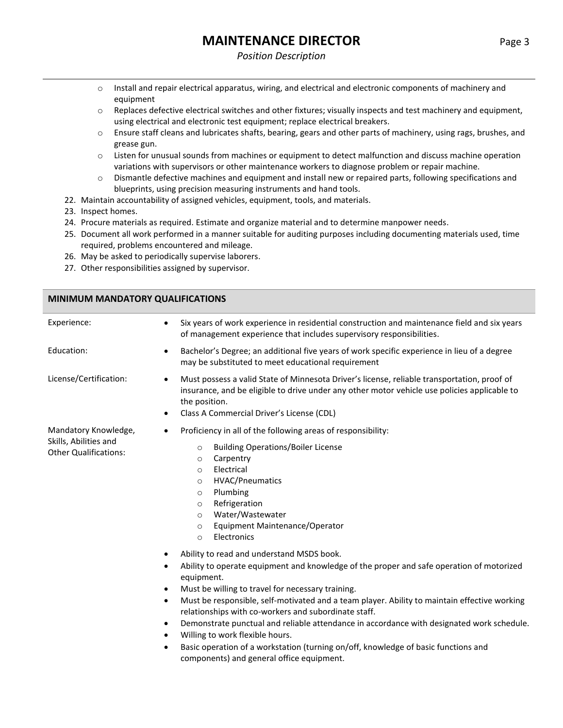#### *Position Description*

- o Install and repair electrical apparatus, wiring, and electrical and electronic components of machinery and equipment
- o Replaces defective electrical switches and other fixtures; visually inspects and test machinery and equipment, using electrical and electronic test equipment; replace electrical breakers.
- $\circ$  Ensure staff cleans and lubricates shafts, bearing, gears and other parts of machinery, using rags, brushes, and grease gun.
- o Listen for unusual sounds from machines or equipment to detect malfunction and discuss machine operation variations with supervisors or other maintenance workers to diagnose problem or repair machine.
- o Dismantle defective machines and equipment and install new or repaired parts, following specifications and blueprints, using precision measuring instruments and hand tools.
- 22. Maintain accountability of assigned vehicles, equipment, tools, and materials.
- 23. Inspect homes.
- 24. Procure materials as required. Estimate and organize material and to determine manpower needs.
- 25. Document all work performed in a manner suitable for auditing purposes including documenting materials used, time required, problems encountered and mileage.
- 26. May be asked to periodically supervise laborers.
- 27. Other responsibilities assigned by supervisor.

**MINIMUM MANDATORY QUALIFICATIONS**

| <u>IVIIIVIIVIUIVI IVIAIVUATUNT QUALII ICATIONJ</u> |                                                                                                                                                                                                                                                                                                                                                                                                                                                                                                                                                                                                                                                                                              |  |
|----------------------------------------------------|----------------------------------------------------------------------------------------------------------------------------------------------------------------------------------------------------------------------------------------------------------------------------------------------------------------------------------------------------------------------------------------------------------------------------------------------------------------------------------------------------------------------------------------------------------------------------------------------------------------------------------------------------------------------------------------------|--|
| Experience:                                        | Six years of work experience in residential construction and maintenance field and six years<br>$\bullet$<br>of management experience that includes supervisory responsibilities.                                                                                                                                                                                                                                                                                                                                                                                                                                                                                                            |  |
| Education:                                         | Bachelor's Degree; an additional five years of work specific experience in lieu of a degree<br>$\bullet$<br>may be substituted to meet educational requirement                                                                                                                                                                                                                                                                                                                                                                                                                                                                                                                               |  |
| License/Certification:                             | Must possess a valid State of Minnesota Driver's license, reliable transportation, proof of<br>$\bullet$<br>insurance, and be eligible to drive under any other motor vehicle use policies applicable to<br>the position.<br>Class A Commercial Driver's License (CDL)<br>٠                                                                                                                                                                                                                                                                                                                                                                                                                  |  |
| Mandatory Knowledge,<br>Skills, Abilities and      | Proficiency in all of the following areas of responsibility:<br>$\bullet$                                                                                                                                                                                                                                                                                                                                                                                                                                                                                                                                                                                                                    |  |
| <b>Other Qualifications:</b>                       | <b>Building Operations/Boiler License</b><br>$\circ$<br>Carpentry<br>$\circ$<br>Electrical<br>$\circ$<br><b>HVAC/Pneumatics</b><br>$\circ$<br>Plumbing<br>$\circ$<br>Refrigeration<br>$\circ$<br>Water/Wastewater<br>$\circ$<br>Equipment Maintenance/Operator<br>$\circ$<br>Electronics<br>$\circ$                                                                                                                                                                                                                                                                                                                                                                                          |  |
|                                                    | Ability to read and understand MSDS book.<br>٠<br>Ability to operate equipment and knowledge of the proper and safe operation of motorized<br>equipment.<br>Must be willing to travel for necessary training.<br>$\bullet$<br>Must be responsible, self-motivated and a team player. Ability to maintain effective working<br>$\bullet$<br>relationships with co-workers and subordinate staff.<br>Demonstrate punctual and reliable attendance in accordance with designated work schedule.<br>$\bullet$<br>Willing to work flexible hours.<br>$\bullet$<br>Basic operation of a workstation (turning on/off, knowledge of basic functions and<br>components) and general office equipment. |  |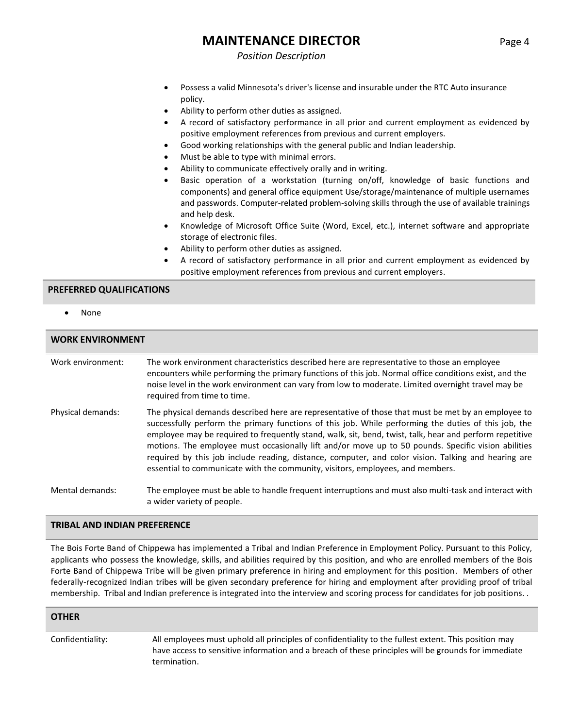### *Position Description*

- Possess a valid Minnesota's driver's license and insurable under the RTC Auto insurance policy.
- Ability to perform other duties as assigned.
- A record of satisfactory performance in all prior and current employment as evidenced by positive employment references from previous and current employers.
- Good working relationships with the general public and Indian leadership.
- Must be able to type with minimal errors.
- Ability to communicate effectively orally and in writing.
- Basic operation of a workstation (turning on/off, knowledge of basic functions and components) and general office equipment Use/storage/maintenance of multiple usernames and passwords. Computer-related problem-solving skills through the use of available trainings and help desk.
- Knowledge of Microsoft Office Suite (Word, Excel, etc.), internet software and appropriate storage of electronic files.
- Ability to perform other duties as assigned.
- A record of satisfactory performance in all prior and current employment as evidenced by positive employment references from previous and current employers.

#### **PREFERRED QUALIFICATIONS**

• None

| <b>WORK ENVIRONMENT</b> |                                                                                                                                                                                                                                                                                                                                                                                                                                                                                                                                                                                                                       |  |
|-------------------------|-----------------------------------------------------------------------------------------------------------------------------------------------------------------------------------------------------------------------------------------------------------------------------------------------------------------------------------------------------------------------------------------------------------------------------------------------------------------------------------------------------------------------------------------------------------------------------------------------------------------------|--|
| Work environment:       | The work environment characteristics described here are representative to those an employee<br>encounters while performing the primary functions of this job. Normal office conditions exist, and the<br>noise level in the work environment can vary from low to moderate. Limited overnight travel may be<br>required from time to time.                                                                                                                                                                                                                                                                            |  |
| Physical demands:       | The physical demands described here are representative of those that must be met by an employee to<br>successfully perform the primary functions of this job. While performing the duties of this job, the<br>employee may be required to frequently stand, walk, sit, bend, twist, talk, hear and perform repetitive<br>motions. The employee must occasionally lift and/or move up to 50 pounds. Specific vision abilities<br>required by this job include reading, distance, computer, and color vision. Talking and hearing are<br>essential to communicate with the community, visitors, employees, and members. |  |
| Mental demands:         | The employee must be able to handle frequent interruptions and must also multi-task and interact with<br>a wider variety of people.                                                                                                                                                                                                                                                                                                                                                                                                                                                                                   |  |

#### **TRIBAL AND INDIAN PREFERENCE**

The Bois Forte Band of Chippewa has implemented a Tribal and Indian Preference in Employment Policy. Pursuant to this Policy, applicants who possess the knowledge, skills, and abilities required by this position, and who are enrolled members of the Bois Forte Band of Chippewa Tribe will be given primary preference in hiring and employment for this position. Members of other federally-recognized Indian tribes will be given secondary preference for hiring and employment after providing proof of tribal membership. Tribal and Indian preference is integrated into the interview and scoring process for candidates for job positions. .

#### **OTHER**

Confidentiality: All employees must uphold all principles of confidentiality to the fullest extent. This position may have access to sensitive information and a breach of these principles will be grounds for immediate termination.